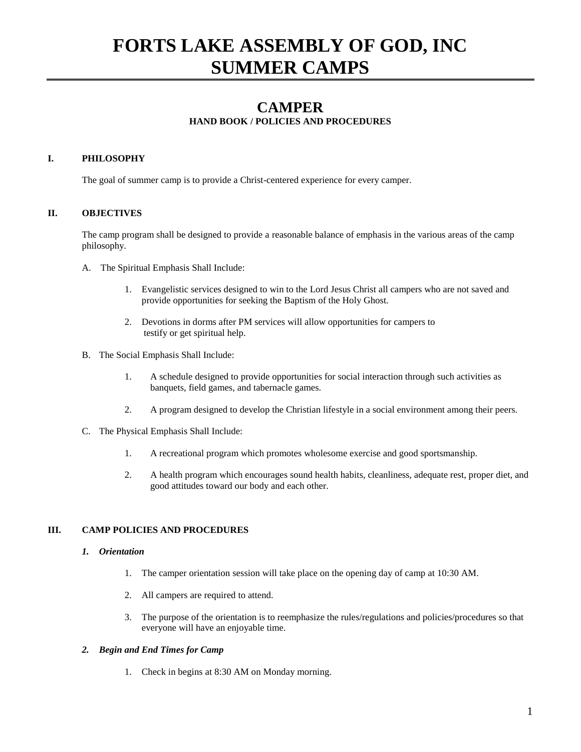# **FORTS LAKE ASSEMBLY OF GOD, INC SUMMER CAMPS**

# **CAMPER**

# **HAND BOOK / POLICIES AND PROCEDURES**

# **I. PHILOSOPHY**

The goal of summer camp is to provide a Christ-centered experience for every camper.

# **II. OBJECTIVES**

The camp program shall be designed to provide a reasonable balance of emphasis in the various areas of the camp philosophy.

- A. The Spiritual Emphasis Shall Include:
	- 1. Evangelistic services designed to win to the Lord Jesus Christ all campers who are not saved and provide opportunities for seeking the Baptism of the Holy Ghost.
	- 2. Devotions in dorms after PM services will allow opportunities for campers to testify or get spiritual help.
- B. The Social Emphasis Shall Include:
	- 1. A schedule designed to provide opportunities for social interaction through such activities as banquets, field games, and tabernacle games.
	- 2. A program designed to develop the Christian lifestyle in a social environment among their peers.
- C. The Physical Emphasis Shall Include:
	- 1. A recreational program which promotes wholesome exercise and good sportsmanship.
	- 2. A health program which encourages sound health habits, cleanliness, adequate rest, proper diet, and good attitudes toward our body and each other.

### **III. CAMP POLICIES AND PROCEDURES**

#### *1. Orientation*

- 1. The camper orientation session will take place on the opening day of camp at 10:30 AM.
- 2. All campers are required to attend.
- 3. The purpose of the orientation is to reemphasize the rules/regulations and policies/procedures so that everyone will have an enjoyable time.

# *2. Begin and End Times for Camp*

1. Check in begins at 8:30 AM on Monday morning.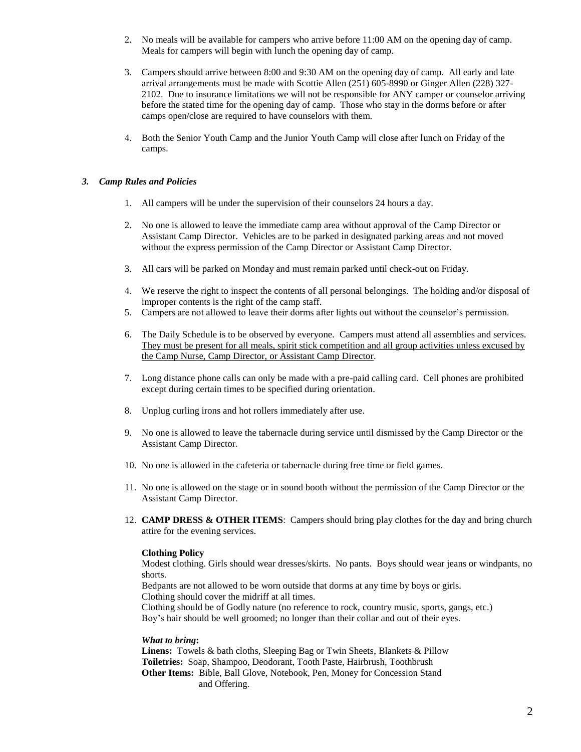- 2. No meals will be available for campers who arrive before 11:00 AM on the opening day of camp. Meals for campers will begin with lunch the opening day of camp.
- 3. Campers should arrive between 8:00 and 9:30 AM on the opening day of camp. All early and late arrival arrangements must be made with Scottie Allen (251) 605-8990 or Ginger Allen (228) 327- 2102. Due to insurance limitations we will not be responsible for ANY camper or counselor arriving before the stated time for the opening day of camp. Those who stay in the dorms before or after camps open/close are required to have counselors with them.
- 4. Both the Senior Youth Camp and the Junior Youth Camp will close after lunch on Friday of the camps.

#### *3. Camp Rules and Policies*

- 1. All campers will be under the supervision of their counselors 24 hours a day.
- 2. No one is allowed to leave the immediate camp area without approval of the Camp Director or Assistant Camp Director. Vehicles are to be parked in designated parking areas and not moved without the express permission of the Camp Director or Assistant Camp Director.
- 3. All cars will be parked on Monday and must remain parked until check-out on Friday.
- 4. We reserve the right to inspect the contents of all personal belongings. The holding and/or disposal of improper contents is the right of the camp staff.
- 5. Campers are not allowed to leave their dorms after lights out without the counselor's permission.
- 6. The Daily Schedule is to be observed by everyone. Campers must attend all assemblies and services. They must be present for all meals, spirit stick competition and all group activities unless excused by the Camp Nurse, Camp Director, or Assistant Camp Director.
- 7. Long distance phone calls can only be made with a pre-paid calling card. Cell phones are prohibited except during certain times to be specified during orientation.
- 8. Unplug curling irons and hot rollers immediately after use.
- 9. No one is allowed to leave the tabernacle during service until dismissed by the Camp Director or the Assistant Camp Director.
- 10. No one is allowed in the cafeteria or tabernacle during free time or field games.
- 11. No one is allowed on the stage or in sound booth without the permission of the Camp Director or the Assistant Camp Director.
- 12. **CAMP DRESS & OTHER ITEMS**: Campers should bring play clothes for the day and bring church attire for the evening services.

### **Clothing Policy**

Modest clothing. Girls should wear dresses/skirts. No pants. Boys should wear jeans or windpants, no shorts.

Bedpants are not allowed to be worn outside that dorms at any time by boys or girls. Clothing should cover the midriff at all times.

Clothing should be of Godly nature (no reference to rock, country music, sports, gangs, etc.) Boy's hair should be well groomed; no longer than their collar and out of their eyes.

#### *What to bring***:**

**Linens:** Towels & bath cloths, Sleeping Bag or Twin Sheets, Blankets & Pillow **Toiletries:** Soap, Shampoo, Deodorant, Tooth Paste, Hairbrush, Toothbrush **Other Items:** Bible, Ball Glove, Notebook, Pen, Money for Concession Stand and Offering.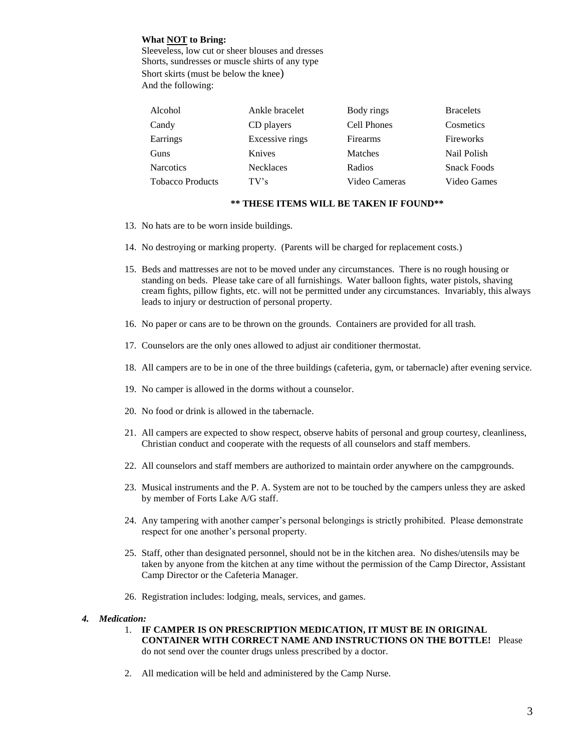### **What NOT to Bring:**

Sleeveless, low cut or sheer blouses and dresses Shorts, sundresses or muscle shirts of any type Short skirts (must be below the knee) And the following:

| Alcohol                 | Ankle bracelet   | Body rings    | <b>Bracelets</b>   |
|-------------------------|------------------|---------------|--------------------|
| Candy                   | CD players       | Cell Phones   | Cosmetics          |
| Earrings                | Excessive rings  | Firearms      | Fireworks          |
| Guns                    | Knives           | Matches       | Nail Polish        |
| <b>Narcotics</b>        | <b>Necklaces</b> | Radios        | <b>Snack Foods</b> |
| <b>Tobacco Products</b> | $TV$ 's          | Video Cameras | Video Games        |

# **\*\* THESE ITEMS WILL BE TAKEN IF FOUND\*\***

- 13. No hats are to be worn inside buildings.
- 14. No destroying or marking property. (Parents will be charged for replacement costs.)
- 15. Beds and mattresses are not to be moved under any circumstances. There is no rough housing or standing on beds. Please take care of all furnishings. Water balloon fights, water pistols, shaving cream fights, pillow fights, etc. will not be permitted under any circumstances. Invariably, this always leads to injury or destruction of personal property.
- 16. No paper or cans are to be thrown on the grounds. Containers are provided for all trash.
- 17. Counselors are the only ones allowed to adjust air conditioner thermostat.
- 18. All campers are to be in one of the three buildings (cafeteria, gym, or tabernacle) after evening service.
- 19. No camper is allowed in the dorms without a counselor.
- 20. No food or drink is allowed in the tabernacle.
- 21. All campers are expected to show respect, observe habits of personal and group courtesy, cleanliness, Christian conduct and cooperate with the requests of all counselors and staff members.
- 22. All counselors and staff members are authorized to maintain order anywhere on the campgrounds.
- 23. Musical instruments and the P. A. System are not to be touched by the campers unless they are asked by member of Forts Lake A/G staff.
- 24. Any tampering with another camper's personal belongings is strictly prohibited. Please demonstrate respect for one another's personal property.
- 25. Staff, other than designated personnel, should not be in the kitchen area. No dishes/utensils may be taken by anyone from the kitchen at any time without the permission of the Camp Director, Assistant Camp Director or the Cafeteria Manager.
- 26. Registration includes: lodging, meals, services, and games.

#### *4. Medication:*

- 1. **IF CAMPER IS ON PRESCRIPTION MEDICATION, IT MUST BE IN ORIGINAL CONTAINER WITH CORRECT NAME AND INSTRUCTIONS ON THE BOTTLE!** Please do not send over the counter drugs unless prescribed by a doctor.
- 2. All medication will be held and administered by the Camp Nurse.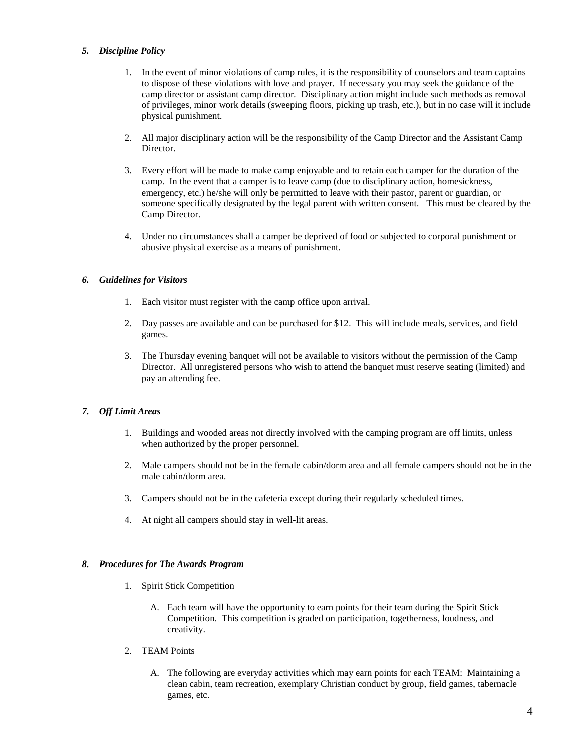#### *5. Discipline Policy*

- 1. In the event of minor violations of camp rules, it is the responsibility of counselors and team captains to dispose of these violations with love and prayer. If necessary you may seek the guidance of the camp director or assistant camp director. Disciplinary action might include such methods as removal of privileges, minor work details (sweeping floors, picking up trash, etc.), but in no case will it include physical punishment.
- 2. All major disciplinary action will be the responsibility of the Camp Director and the Assistant Camp **Director**
- 3. Every effort will be made to make camp enjoyable and to retain each camper for the duration of the camp. In the event that a camper is to leave camp (due to disciplinary action, homesickness, emergency, etc.) he/she will only be permitted to leave with their pastor, parent or guardian, or someone specifically designated by the legal parent with written consent. This must be cleared by the Camp Director.
- 4. Under no circumstances shall a camper be deprived of food or subjected to corporal punishment or abusive physical exercise as a means of punishment.

### *6. Guidelines for Visitors*

- 1. Each visitor must register with the camp office upon arrival.
- 2. Day passes are available and can be purchased for \$12. This will include meals, services, and field games.
- 3. The Thursday evening banquet will not be available to visitors without the permission of the Camp Director. All unregistered persons who wish to attend the banquet must reserve seating (limited) and pay an attending fee.

### *7. Off Limit Areas*

- 1. Buildings and wooded areas not directly involved with the camping program are off limits, unless when authorized by the proper personnel.
- 2. Male campers should not be in the female cabin/dorm area and all female campers should not be in the male cabin/dorm area.
- 3. Campers should not be in the cafeteria except during their regularly scheduled times.
- 4. At night all campers should stay in well-lit areas.

### *8. Procedures for The Awards Program*

- 1. Spirit Stick Competition
	- A. Each team will have the opportunity to earn points for their team during the Spirit Stick Competition. This competition is graded on participation, togetherness, loudness, and creativity.
- 2. TEAM Points
	- A. The following are everyday activities which may earn points for each TEAM: Maintaining a clean cabin, team recreation, exemplary Christian conduct by group, field games, tabernacle games, etc.